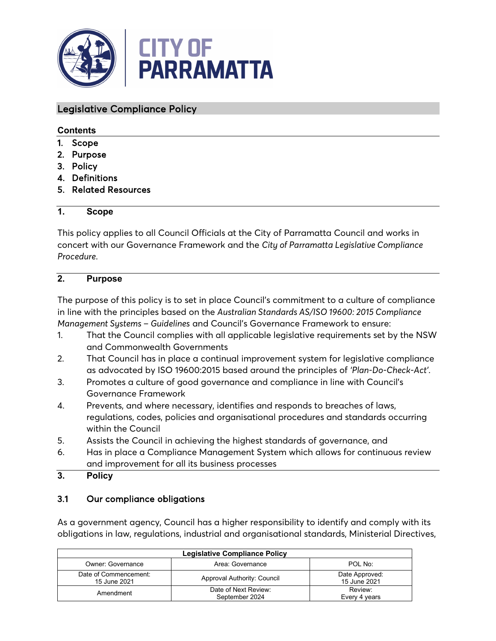

#### Legislative Compliance Policy

#### **Contents**

- 1. Scope
- 2. Purpose
- 3. Policy
- 4. Definitions
- 5. Related Resources

#### **1. Scope**

This policy applies to all Council Officials at the City of Parramatta Council and works in concert with our Governance Framework and the *City of Parramatta Legislative Compliance Procedure*.

### **2. Purpose**

The purpose of this policy is to set in place Council's commitment to a culture of compliance in line with the principles based on the *Australian Standards AS/ISO 19600: 2015 Compliance Management Systems – Guidelines* and Council's Governance Framework to ensure:

- 1. That the Council complies with all applicable legislative requirements set by the NSW and Commonwealth Governments
- 2. That Council has in place a continual improvement system for legislative compliance as advocated by ISO 19600:2015 based around the principles of *'Plan-Do-Check-Act'*.
- 3. Promotes a culture of good governance and compliance in line with Council's Governance Framework
- 4. Prevents, and where necessary, identifies and responds to breaches of laws, regulations, codes, policies and organisational procedures and standards occurring within the Council
- 5. Assists the Council in achieving the highest standards of governance, and
- 6. Has in place a Compliance Management System which allows for continuous review and improvement for all its business processes
- **3. Policy**

#### 3.1 Our compliance obligations

As a government agency, Council has a higher responsibility to identify and comply with its obligations in law, regulations, industrial and organisational standards, Ministerial Directives,

| <b>Legislative Compliance Policy</b>             |                                        |                                |  |  |
|--------------------------------------------------|----------------------------------------|--------------------------------|--|--|
| Owner: Governance<br>Area: Governance<br>POL No: |                                        |                                |  |  |
| Date of Commencement:<br>15 June 2021            | Approval Authority: Council            | Date Approved:<br>15 June 2021 |  |  |
| Amendment                                        | Date of Next Review:<br>September 2024 | Review:<br>Every 4 years       |  |  |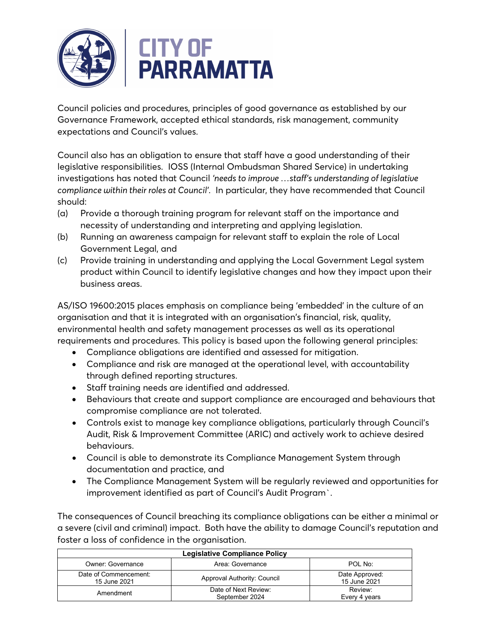

Council policies and procedures, principles of good governance as established by our Governance Framework, accepted ethical standards, risk management, community expectations and Council's values.

Council also has an obligation to ensure that staff have a good understanding of their legislative responsibilities. IOSS (Internal Ombudsman Shared Service) in undertaking investigations has noted that Council *'needs to improve …staff's understanding of legislative compliance within their roles at Council'*. In particular, they have recommended that Council should:

- (a) Provide a thorough training program for relevant staff on the importance and necessity of understanding and interpreting and applying legislation.
- (b) Running an awareness campaign for relevant staff to explain the role of Local Government Legal, and
- (c) Provide training in understanding and applying the Local Government Legal system product within Council to identify legislative changes and how they impact upon their business areas.

AS/ISO 19600:2015 places emphasis on compliance being 'embedded' in the culture of an organisation and that it is integrated with an organisation's financial, risk, quality, environmental health and safety management processes as well as its operational requirements and procedures. This policy is based upon the following general principles:

- Compliance obligations are identified and assessed for mitigation.
- Compliance and risk are managed at the operational level, with accountability through defined reporting structures.
- Staff training needs are identified and addressed.
- Behaviours that create and support compliance are encouraged and behaviours that compromise compliance are not tolerated.
- Controls exist to manage key compliance obligations, particularly through Council's Audit, Risk & Improvement Committee (ARIC) and actively work to achieve desired behaviours.
- Council is able to demonstrate its Compliance Management System through documentation and practice, and
- The Compliance Management System will be regularly reviewed and opportunities for improvement identified as part of Council's Audit Program`.

The consequences of Council breaching its compliance obligations can be either a minimal or a severe (civil and criminal) impact. Both have the ability to damage Council's reputation and foster a loss of confidence in the organisation.

| Legislative Compliance Policy                    |                                        |                                |  |  |
|--------------------------------------------------|----------------------------------------|--------------------------------|--|--|
| POL No:<br>Owner: Governance<br>Area: Governance |                                        |                                |  |  |
| Date of Commencement:<br>15 June 2021            | Approval Authority: Council            | Date Approved:<br>15 June 2021 |  |  |
| Amendment                                        | Date of Next Review:<br>September 2024 | Review:<br>Every 4 years       |  |  |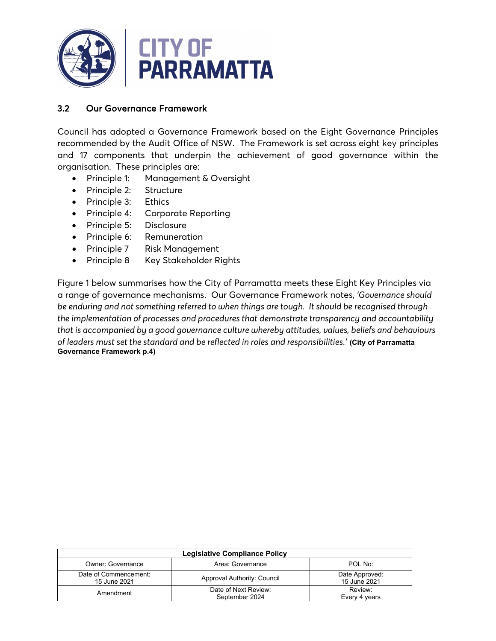

### 3.2 Our Governance Framework

Council has adopted a Governance Framework based on the Eight Governance Principles recommended by the Audit Office of NSW. The Framework is set across eight key principles and 17 components that underpin the achievement of good governance within the organisation. These principles are:

- Principle 1: Management & Oversight
- Principle 2: Structure
- Principle 3: Ethics
- Principle 4: Corporate Reporting
- Principle 5: Disclosure
- Principle 6: Remuneration
- Principle 7 Risk Management
- Principle 8 Key Stakeholder Rights

Figure 1 below summarises how the City of Parramatta meets these Eight Key Principles via a range of governance mechanisms. Our Governance Framework notes, *'Governance should be enduring and not something referred to when things are tough. It should be recognised through the implementation of processes and procedures that demonstrate transparency and accountability that is accompanied by a good governance culture whereby attitudes, values, beliefs and behaviours of leaders must set the standard and be reflected in roles and responsibilities.'* **(City of Parramatta Governance Framework p.4)**

| <b>Legislative Compliance Policy</b>  |                                        |                                |  |  |
|---------------------------------------|----------------------------------------|--------------------------------|--|--|
| Owner: Governance                     | Area: Governance                       | POL No:                        |  |  |
| Date of Commencement:<br>15 June 2021 | Approval Authority: Council            | Date Approved:<br>15 June 2021 |  |  |
| Amendment                             | Date of Next Review:<br>September 2024 | Review:<br>Every 4 years       |  |  |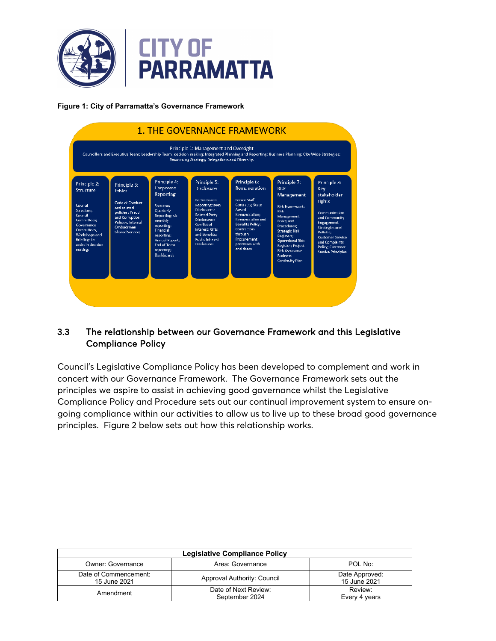

**Figure 1: City of Parramatta's Governance Framework**



#### 3.3 The relationship between our Governance Framework and this Legislative Compliance Policy

Council's Legislative Compliance Policy has been developed to complement and work in concert with our Governance Framework. The Governance Framework sets out the principles we aspire to assist in achieving good governance whilst the Legislative Compliance Policy and Procedure sets out our continual improvement system to ensure ongoing compliance within our activities to allow us to live up to these broad good governance principles. Figure 2 below sets out how this relationship works.

| Legislative Compliance Policy         |                                        |                                      |  |
|---------------------------------------|----------------------------------------|--------------------------------------|--|
| Owner: Governance                     | Area: Governance                       | POL No:                              |  |
| Date of Commencement:<br>15 June 2021 | Approval Authority: Council            | Date Approved:<br>15 June 2021       |  |
| Amendment                             | Date of Next Review:<br>September 2024 | Review <sup>-</sup><br>Every 4 years |  |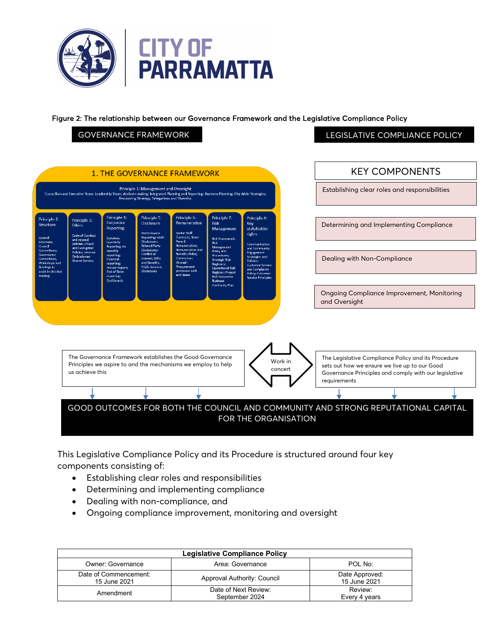

Figure 2: The relationship between our Governance Framework and the Legislative Compliance Policy

#### GOVERNANCE FRAMEWORK **LEGISLATIVE COMPLIANCE POLICY**

|                                                                                                                              |                                                                                     |                                                                                                                                        |                                                                                                                                         | <b>1. THE GOVERNANCE FRAMEWORK</b>                                                                                                            |                                                                                                                                                                |                                                                                                                                                                                   | <b>KEY COMPONENTS</b>                                                                                                                                                         |
|------------------------------------------------------------------------------------------------------------------------------|-------------------------------------------------------------------------------------|----------------------------------------------------------------------------------------------------------------------------------------|-----------------------------------------------------------------------------------------------------------------------------------------|-----------------------------------------------------------------------------------------------------------------------------------------------|----------------------------------------------------------------------------------------------------------------------------------------------------------------|-----------------------------------------------------------------------------------------------------------------------------------------------------------------------------------|-------------------------------------------------------------------------------------------------------------------------------------------------------------------------------|
|                                                                                                                              |                                                                                     |                                                                                                                                        | Principle 1: Management and Oversight<br>Resourcing Strategy; Delegations and Diversity.                                                | Councillors and Executive Team; Leadership Team; decision making; Integrated Planning and Reporting; Business Planning; City Wide Strategies; |                                                                                                                                                                |                                                                                                                                                                                   | Establishing clear roles and responsibilities                                                                                                                                 |
| Principle 2:<br>Structure<br>Council<br>Structure:                                                                           | Principle 3:<br><b>Ethics</b><br>Code of Conduct<br>and related<br>policies : Fraud | Principle 4:<br>Corporate<br>Reporting<br><b>Statutory</b><br>Quarterly                                                                | Principle 5:<br><b>Disclosure</b><br>Performance<br>Reporting: s449<br><b>Disclosures:</b>                                              | Principle 6:<br>Remuneration<br>Senior Staff<br><b>Contracts: State</b><br>Award                                                              | Principle 7:<br><b>Risk</b><br>Management<br><b>Risk Framework:</b><br><b>Risk</b>                                                                             | Principle 8:<br><b>Key</b><br>stakeholder<br><b>rights</b>                                                                                                                        | Determining and Implementing Compliance                                                                                                                                       |
| Council<br>Committees;<br>Governance<br>Committees,<br>Workshops and<br><b>Briefings to</b><br>assist in decision<br>making; | and Corruption<br><b>Policies</b> ; Internal<br>Ombudsman<br><b>Shared Service:</b> | <b>Reporting; six</b><br>monthly<br>reporting:<br>Financial<br>reporting:<br><b>Annual Report:</b><br><b>End of Term</b><br>reporting; | <b>Related Party</b><br>Disclosures;<br>Conflict of<br>interest; Gifts<br>and Benefits:<br><b>Public Interest</b><br><b>Disclosures</b> | <b>Remuneration:</b><br>Remuneration and<br><b>Benefits Policy;</b><br>Contractors<br>through<br>Procurement<br>processes with<br>end dates   | Management<br>Policy and<br>Procedures;<br><b>Strategic Risk</b><br>Registers;<br><b>Operational Risk</b><br><b>Register: Project</b><br><b>Risk Assurance</b> | Communication<br>and Community<br>Engagement<br>Strategies and<br>Policies;<br><b>Customer Service</b><br>and Complaints<br><b>Policy</b> ; Customer<br><b>Service Principles</b> | Dealing with Non-Compliance                                                                                                                                                   |
|                                                                                                                              |                                                                                     | <b>Dashboards</b>                                                                                                                      |                                                                                                                                         |                                                                                                                                               | <b>Business</b><br><b>Continuity Plan</b>                                                                                                                      |                                                                                                                                                                                   |                                                                                                                                                                               |
|                                                                                                                              |                                                                                     |                                                                                                                                        |                                                                                                                                         |                                                                                                                                               |                                                                                                                                                                |                                                                                                                                                                                   | <b>Ongoing Compliance Improvement, Monitoring</b><br>and Oversight                                                                                                            |
|                                                                                                                              | us achieve this                                                                     |                                                                                                                                        |                                                                                                                                         | The Governance Framework establishes the Good Governance<br>Principles we aspire to and the mechanisms we employ to help                      |                                                                                                                                                                | Work in<br>concert                                                                                                                                                                | The Legislative Compliance Policy and its Procedure<br>sets out how we ensure we live up to our Good<br>Governance Principles and comply with our legislative<br>requirements |

This Legislative Compliance Policy and its Procedure is structured around four key components consisting of:

- Establishing clear roles and responsibilities
- Determining and implementing compliance
- Dealing with non-compliance, and
- Ongoing compliance improvement, monitoring and oversight

| <b>Legislative Compliance Policy</b>  |                                        |                                |  |
|---------------------------------------|----------------------------------------|--------------------------------|--|
| Owner: Governance                     | Area: Governance                       | POL No:                        |  |
| Date of Commencement:<br>15 June 2021 | Approval Authority: Council            | Date Approved:<br>15 June 2021 |  |
| Amendment                             | Date of Next Review:<br>September 2024 | Review:<br>Every 4 years       |  |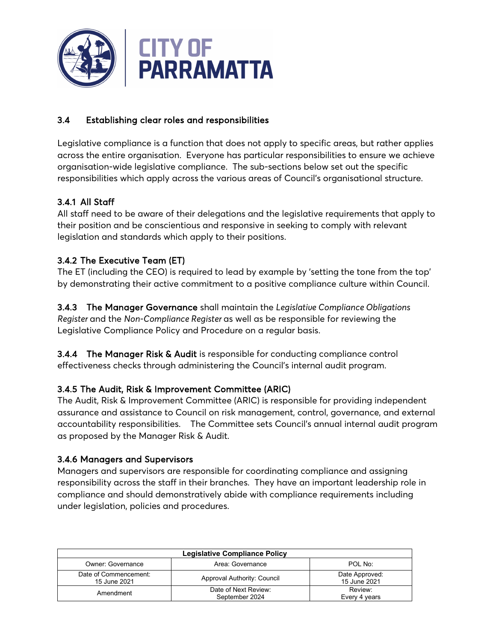

### 3.4 Establishing clear roles and responsibilities

Legislative compliance is a function that does not apply to specific areas, but rather applies across the entire organisation. Everyone has particular responsibilities to ensure we achieve organisation-wide legislative compliance. The sub-sections below set out the specific responsibilities which apply across the various areas of Council's organisational structure.

### 3.4.1 All Staff

All staff need to be aware of their delegations and the legislative requirements that apply to their position and be conscientious and responsive in seeking to comply with relevant legislation and standards which apply to their positions.

### 3.4.2 The Executive Team (ET)

The ET (including the CEO) is required to lead by example by 'setting the tone from the top' by demonstrating their active commitment to a positive compliance culture within Council.

3.4.3 The Manager Governance shall maintain the *Legislative Compliance Obligations Register* and the *Non-Compliance Register* as well as be responsible for reviewing the Legislative Compliance Policy and Procedure on a regular basis.

3.4.4 The Manager Risk & Audit is responsible for conducting compliance control effectiveness checks through administering the Council's internal audit program.

#### 3.4.5 The Audit, Risk & Improvement Committee (ARIC)

The Audit, Risk & Improvement Committee (ARIC) is responsible for providing independent assurance and assistance to Council on risk management, control, governance, and external accountability responsibilities. The Committee sets Council's annual internal audit program as proposed by the Manager Risk & Audit.

#### 3.4.6 Managers and Supervisors

Managers and supervisors are responsible for coordinating compliance and assigning responsibility across the staff in their branches. They have an important leadership role in compliance and should demonstratively abide with compliance requirements including under legislation, policies and procedures.

| <b>Legislative Compliance Policy</b>             |                                        |                                      |  |  |
|--------------------------------------------------|----------------------------------------|--------------------------------------|--|--|
| POL No:<br>Owner: Governance<br>Area: Governance |                                        |                                      |  |  |
| Date of Commencement:<br>15 June 2021            | Approval Authority: Council            | Date Approved:<br>15 June 2021       |  |  |
| Amendment                                        | Date of Next Review:<br>September 2024 | Review <sup>-</sup><br>Every 4 years |  |  |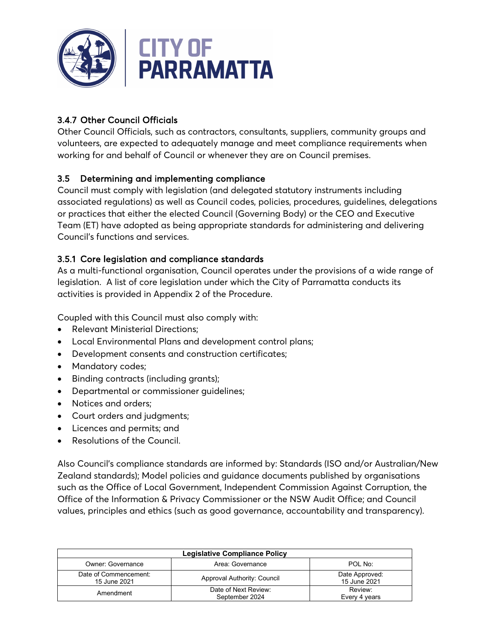

## 3.4.7 Other Council Officials

Other Council Officials, such as contractors, consultants, suppliers, community groups and volunteers, are expected to adequately manage and meet compliance requirements when working for and behalf of Council or whenever they are on Council premises.

### 3.5 Determining and implementing compliance

Council must comply with legislation (and delegated statutory instruments including associated regulations) as well as Council codes, policies, procedures, guidelines, delegations or practices that either the elected Council (Governing Body) or the CEO and Executive Team (ET) have adopted as being appropriate standards for administering and delivering Council's functions and services.

### 3.5.1 Core legislation and compliance standards

As a multi-functional organisation, Council operates under the provisions of a wide range of legislation. A list of core legislation under which the City of Parramatta conducts its activities is provided in Appendix 2 of the Procedure.

Coupled with this Council must also comply with:

- Relevant Ministerial Directions;
- Local Environmental Plans and development control plans;
- Development consents and construction certificates;
- Mandatory codes;
- Binding contracts (including grants);
- Departmental or commissioner guidelines;
- Notices and orders;
- Court orders and judgments;
- Licences and permits; and
- Resolutions of the Council.

Also Council's compliance standards are informed by: Standards (ISO and/or Australian/New Zealand standards); Model policies and guidance documents published by organisations such as the Office of Local Government, Independent Commission Against Corruption, the Office of the Information & Privacy Commissioner or the NSW Audit Office; and Council values, principles and ethics (such as good governance, accountability and transparency).

| <b>Legislative Compliance Policy</b>                    |                                        |                                |  |  |
|---------------------------------------------------------|----------------------------------------|--------------------------------|--|--|
| <b>Owner: Governance</b><br>POL No:<br>Area: Governance |                                        |                                |  |  |
| Date of Commencement:<br>15 June 2021                   | Approval Authority: Council            | Date Approved:<br>15 June 2021 |  |  |
| Amendment                                               | Date of Next Review:<br>September 2024 | Review:<br>Every 4 years       |  |  |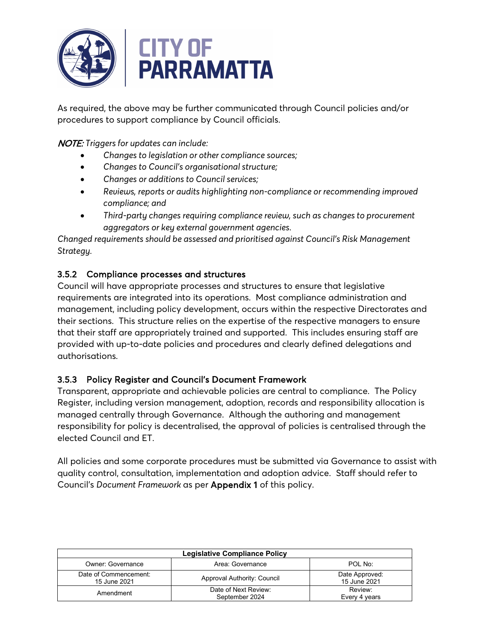

As required, the above may be further communicated through Council policies and/or procedures to support compliance by Council officials.

NOTE: *Triggers for updates can include:* 

- *Changes to legislation or other compliance sources;*
- *Changes to Council's organisational structure;*
- *Changes or additions to Council services;*
- *Reviews, reports or audits highlighting non-compliance or recommending improved compliance; and*
- *Third-party changes requiring compliance review, such as changes to procurement aggregators or key external government agencies.*

*Changed requirements should be assessed and prioritised against Council's Risk Management Strategy.*

### 3.5.2 Compliance processes and structures

Council will have appropriate processes and structures to ensure that legislative requirements are integrated into its operations. Most compliance administration and management, including policy development, occurs within the respective Directorates and their sections. This structure relies on the expertise of the respective managers to ensure that their staff are appropriately trained and supported. This includes ensuring staff are provided with up-to-date policies and procedures and clearly defined delegations and authorisations.

### 3.5.3 Policy Register and Council's Document Framework

Transparent, appropriate and achievable policies are central to compliance. The Policy Register, including version management, adoption, records and responsibility allocation is managed centrally through Governance. Although the authoring and management responsibility for policy is decentralised, the approval of policies is centralised through the elected Council and ET.

All policies and some corporate procedures must be submitted via Governance to assist with quality control, consultation, implementation and adoption advice. Staff should refer to Council's *Document Framework* as per Appendix 1 of this policy.

| <b>Legislative Compliance Policy</b>             |                                        |                                |  |  |
|--------------------------------------------------|----------------------------------------|--------------------------------|--|--|
| Owner: Governance<br>Area: Governance<br>POL No: |                                        |                                |  |  |
| Date of Commencement:<br>15 June 2021            | Approval Authority: Council            | Date Approved:<br>15 June 2021 |  |  |
| Amendment                                        | Date of Next Review:<br>September 2024 | Review:<br>Every 4 years       |  |  |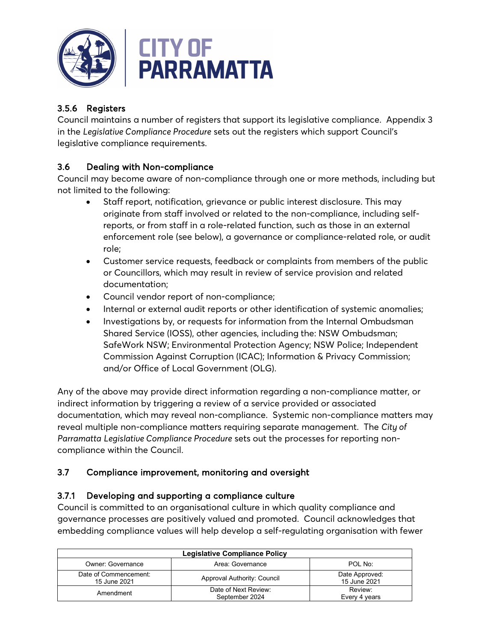

# 3.5.6 Registers

Council maintains a number of registers that support its legislative compliance. Appendix 3 in the *Legislative Compliance Procedure* sets out the registers which support Council's legislative compliance requirements.

## 3.6 Dealing with Non-compliance

Council may become aware of non-compliance through one or more methods, including but not limited to the following:

- Staff report, notification, grievance or public interest disclosure. This may originate from staff involved or related to the non-compliance, including selfreports, or from staff in a role-related function, such as those in an external enforcement role (see below), a governance or compliance-related role, or audit role;
- Customer service requests, feedback or complaints from members of the public or Councillors, which may result in review of service provision and related documentation;
- Council vendor report of non-compliance;
- Internal or external audit reports or other identification of systemic anomalies;
- Investigations by, or requests for information from the Internal Ombudsman Shared Service (IOSS), other agencies, including the: NSW Ombudsman; SafeWork NSW; Environmental Protection Agency; NSW Police; Independent Commission Against Corruption (ICAC); Information & Privacy Commission; and/or Office of Local Government (OLG).

Any of the above may provide direct information regarding a non-compliance matter, or indirect information by triggering a review of a service provided or associated documentation, which may reveal non-compliance. Systemic non-compliance matters may reveal multiple non-compliance matters requiring separate management. The *City of Parramatta Legislative Compliance Procedure* sets out the processes for reporting noncompliance within the Council.

# 3.7 Compliance improvement, monitoring and oversight

### 3.7.1 Developing and supporting a compliance culture

Council is committed to an organisational culture in which quality compliance and governance processes are positively valued and promoted. Council acknowledges that embedding compliance values will help develop a self-regulating organisation with fewer

| <b>Legislative Compliance Policy</b>  |                                        |                                      |  |
|---------------------------------------|----------------------------------------|--------------------------------------|--|
| Owner: Governance                     | Area: Governance                       | POL No:                              |  |
| Date of Commencement:<br>15 June 2021 | Approval Authority: Council            | Date Approved:<br>15 June 2021       |  |
| Amendment                             | Date of Next Review:<br>September 2024 | Review <sup>-</sup><br>Every 4 years |  |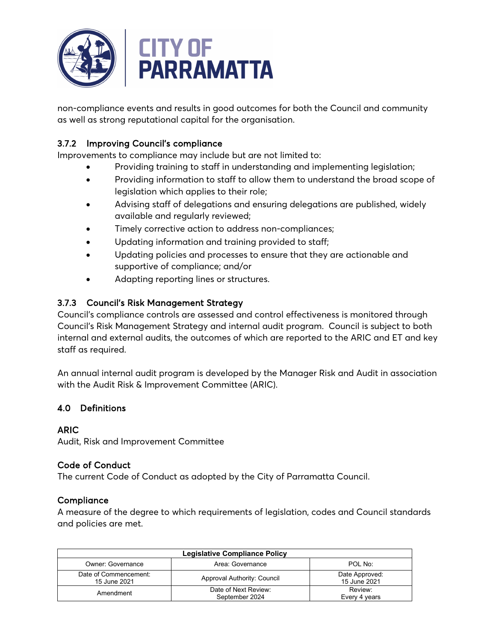

non-compliance events and results in good outcomes for both the Council and community as well as strong reputational capital for the organisation.

## 3.7.2 Improving Council's compliance

Improvements to compliance may include but are not limited to:

- Providing training to staff in understanding and implementing legislation;
- Providing information to staff to allow them to understand the broad scope of legislation which applies to their role;
- Advising staff of delegations and ensuring delegations are published, widely available and regularly reviewed;
- Timely corrective action to address non-compliances;
- Updating information and training provided to staff;
- Updating policies and processes to ensure that they are actionable and supportive of compliance; and/or
- Adapting reporting lines or structures.

### 3.7.3 Council's Risk Management Strategy

Council's compliance controls are assessed and control effectiveness is monitored through Council's Risk Management Strategy and internal audit program. Council is subject to both internal and external audits, the outcomes of which are reported to the ARIC and ET and key staff as required.

An annual internal audit program is developed by the Manager Risk and Audit in association with the Audit Risk & Improvement Committee (ARIC).

### 4.0 Definitions

#### ARIC

Audit, Risk and Improvement Committee

#### Code of Conduct

The current Code of Conduct as adopted by the City of Parramatta Council.

#### **Compliance**

A measure of the degree to which requirements of legislation, codes and Council standards and policies are met.

| <b>Legislative Compliance Policy</b>             |                                        |                                |  |  |
|--------------------------------------------------|----------------------------------------|--------------------------------|--|--|
| Owner: Governance<br>Area: Governance<br>POL No: |                                        |                                |  |  |
| Date of Commencement:<br>15 June 2021            | Approval Authority: Council            | Date Approved:<br>15 June 2021 |  |  |
| Amendment                                        | Date of Next Review:<br>September 2024 | Review:<br>Every 4 years       |  |  |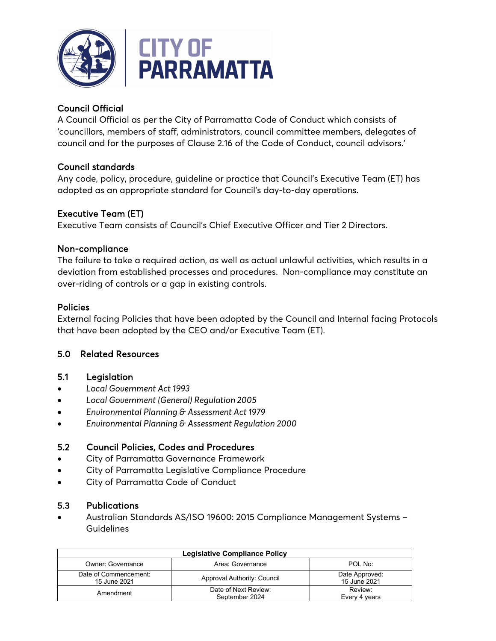

## Council Official

A Council Official as per the City of Parramatta Code of Conduct which consists of 'councillors, members of staff, administrators, council committee members, delegates of council and for the purposes of Clause 2.16 of the Code of Conduct, council advisors.'

### Council standards

Any code, policy, procedure, guideline or practice that Council's Executive Team (ET) has adopted as an appropriate standard for Council's day-to-day operations.

### Executive Team (ET)

Executive Team consists of Council's Chief Executive Officer and Tier 2 Directors.

#### Non-compliance

The failure to take a required action, as well as actual unlawful activities, which results in a deviation from established processes and procedures. Non-compliance may constitute an over-riding of controls or a gap in existing controls.

#### Policies

External facing Policies that have been adopted by the Council and Internal facing Protocols that have been adopted by the CEO and/or Executive Team (ET).

#### 5.0 Related Resources

#### 5.1 Legislation

- *Local Government Act 1993*
- *Local Government (General) Regulation 2005*
- *Environmental Planning & Assessment Act 1979*
- *Environmental Planning & Assessment Regulation 2000*

### 5.2 Council Policies, Codes and Procedures

- City of Parramatta Governance Framework
- City of Parramatta Legislative Compliance Procedure
- City of Parramatta Code of Conduct

#### 5.3 Publications

• Australian Standards AS/ISO 19600: 2015 Compliance Management Systems – Guidelines

| <b>Legislative Compliance Policy</b>             |                                        |                                |  |  |
|--------------------------------------------------|----------------------------------------|--------------------------------|--|--|
| POL No:<br>Owner: Governance<br>Area: Governance |                                        |                                |  |  |
| Date of Commencement:<br>15 June 2021            | Approval Authority: Council            | Date Approved:<br>15 June 2021 |  |  |
| Amendment                                        | Date of Next Review:<br>September 2024 | Review:<br>Every 4 years       |  |  |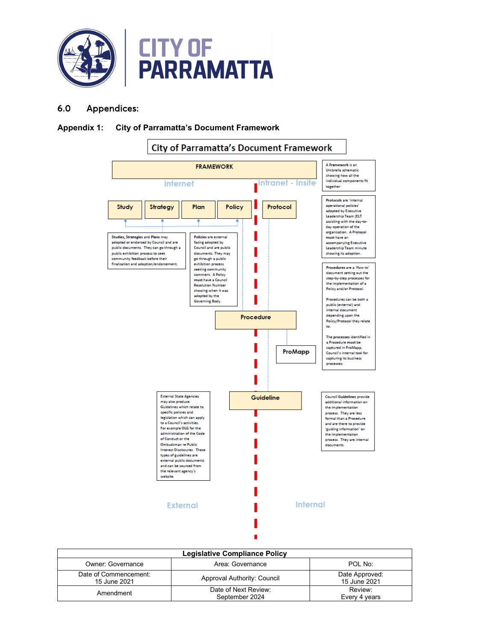

#### 6.0 Appendices:

#### **Appendix 1: City of Parramatta's Document Framework**



| Legislative Compliance Policy         |                                        |                                |  |
|---------------------------------------|----------------------------------------|--------------------------------|--|
| <b>Owner: Governance</b>              | Area: Governance                       | POL No:                        |  |
| Date of Commencement:<br>15 June 2021 | Approval Authority: Council            | Date Approved:<br>15 June 2021 |  |
| Amendment                             | Date of Next Review:<br>September 2024 | Review:<br>Every 4 years       |  |